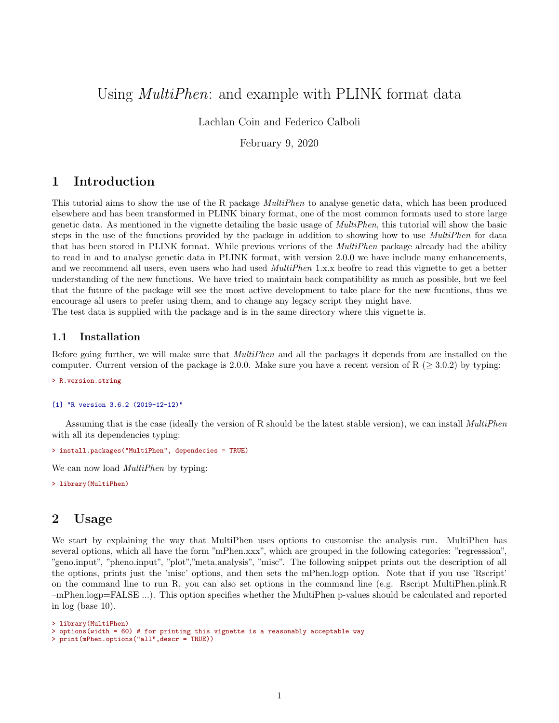# Using *MultiPhen*: and example with PLINK format data

Lachlan Coin and Federico Calboli

February 9, 2020

## 1 Introduction

This tutorial aims to show the use of the R package MultiPhen to analyse genetic data, which has been produced elsewhere and has been transformed in PLINK binary format, one of the most common formats used to store large genetic data. As mentioned in the vignette detailing the basic usage of MultiPhen, this tutorial will show the basic steps in the use of the functions provided by the package in addition to showing how to use *MultiPhen* for data that has been stored in PLINK format. While previous verions of the *MultiPhen* package already had the ability to read in and to analyse genetic data in PLINK format, with version 2.0.0 we have include many enhancements, and we recommend all users, even users who had used *MultiPhen* 1.x.x beofre to read this vignette to get a better understanding of the new functions. We have tried to maintain back compatibility as much as possible, but we feel that the future of the package will see the most active development to take place for the new fucntions, thus we encourage all users to prefer using them, and to change any legacy script they might have.

The test data is supplied with the package and is in the same directory where this vignette is.

### 1.1 Installation

Before going further, we will make sure that *MultiPhen* and all the packages it depends from are installed on the computer. Current version of the package is 2.0.0. Make sure you have a recent version of  $R$  ( $\geq$  3.0.2) by typing:

> R.version.string

```
[1] "R version 3.6.2 (2019-12-12)"
```
Assuming that is the case (ideally the version of R should be the latest stable version), we can install *MultiPhen* with all its dependencies typing:

```
> install.packages("MultiPhen", dependecies = TRUE)
```
We can now load *MultiPhen* by typing:

> library(MultiPhen)

## 2 Usage

We start by explaining the way that MultiPhen uses options to customise the analysis run. MultiPhen has several options, which all have the form "mPhen.xxx", which are grouped in the following categories: "regresssion", "geno.input", "pheno.input", "plot","meta.analysis", "misc". The following snippet prints out the description of all the options, prints just the 'misc' options, and then sets the mPhen.logp option. Note that if you use 'Rscript' on the command line to run R, you can also set options in the command line (e.g. Rscript MultiPhen.plink.R –mPhen.logp=FALSE ...). This option specifies whether the MultiPhen p-values should be calculated and reported in log (base 10).

> library(MultiPhen) > options(width = 60) # for printing this vignette is a reasonably acceptable way > print(mPhen.options("all",descr = TRUE))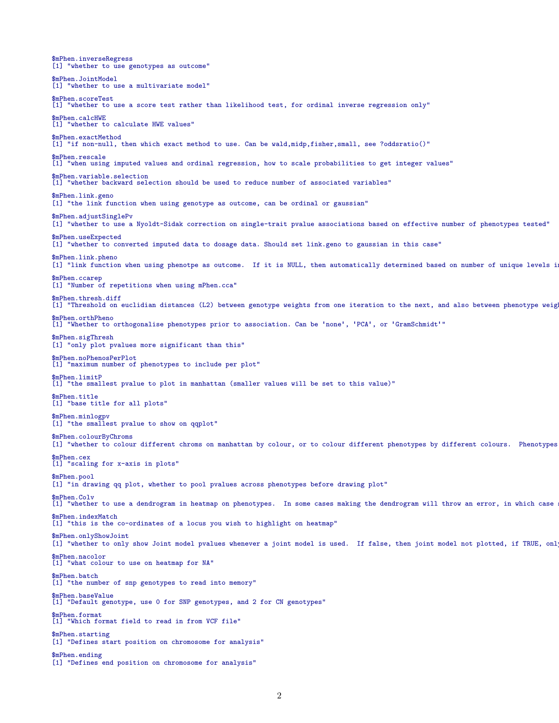\$mPhen.inverseRegress [1] "whether to use genotypes as outcome" \$mPhen.JointModel [1] "whether to use a multivariate model" \$mPhen.scoreTest [1] "whether to use a score test rather than likelihood test, for ordinal inverse regression only" \$mPhen.calcHWE [1] "whether to calculate HWE values" \$mPhen.exactMethod [1] "if non-null, then which exact method to use. Can be wald,midp,fisher,small, see ?oddsratio()" \$mPhen.rescale [1] "when using imputed values and ordinal regression, how to scale probabilities to get integer values" \$mPhen.variable.selection<br>[1] "whether backward sel "whether backward selection should be used to reduce number of associated variables" \$mPhen.link.geno [1] "the link function when using genotype as outcome, can be ordinal or gaussian" \$mPhen.adjustSinglePv [1] "whether to use a Nyoldt-Sidak correction on single-trait pvalue associations based on effective number of phenotypes tested" \$mPhen.useExpected [1] "whether to converted imputed data to dosage data. Should set link.geno to gaussian in this case" \$mPhen.link.pheno [1] "link function when using phenotpe as outcome. If it is NULL, then automatically determined based on number of unique levels in \$mPhen.ccarep [1] "Number of repetitions when using mPhen.cca" \$mPhen.thresh.diff [1] "Threshold on euclidian distances (L2) between genotype weights from one iteration to the next, and also between phenotype weig \$mPhen.orthPheno [1] "Whether to orthogonalise phenotypes prior to association. Can be 'none', 'PCA', or 'GramSchmidt'" \$mPhen.sigThresh [1] "only plot pvalues more significant than this" \$mPhen.noPhenosPerPlot [1] "maximum number of phenotypes to include per plot" \$mPhen.limitP [1] "the smallest pvalue to plot in manhattan (smaller values will be set to this value)" \$mPhen.title [1] "base title for all plots" \$mPhen.minlogpv [1] "the smallest pvalue to show on qqplot" \$mPhen.colourByChroms [1] "whether to colour different chroms on manhattan by colour, or to colour different phenotypes by different colours. Phenotypes \$mPhen.cex [1] "scaling for x-axis in plots" \$mPhen.pool [1] "in drawing qq plot, whether to pool pvalues across phenotypes before drawing plot" \$mPhen.Colv<br>[1] "whether to use a dendrogram in heatmap on phenotypes. In some cases making the dendrogram will throw an error, in which case : \$mPhen.indexMatch [1] "this is the co-ordinates of a locus you wish to highlight on heatmap" \$mPhen.onlyShowJoint [1] "whether to only show Joint model pvalues whenever a joint model is used. If false, then joint model not plotted, if TRUE, only \$mPhen.nacolor [1] "what colour to use on heatmap for NA" \$mPhen.batch [1] "the number of snp genotypes to read into memory" \$mPhen.baseValue [1] "Default genotype, use 0 for SNP genotypes, and 2 for CN genotypes" \$mPhen.format [1] "Which format field to read in from VCF file" \$mPhen.starting [1] "Defines start position on chromosome for analysis" \$mPhen.ending [1] "Defines end position on chromosome for analysis"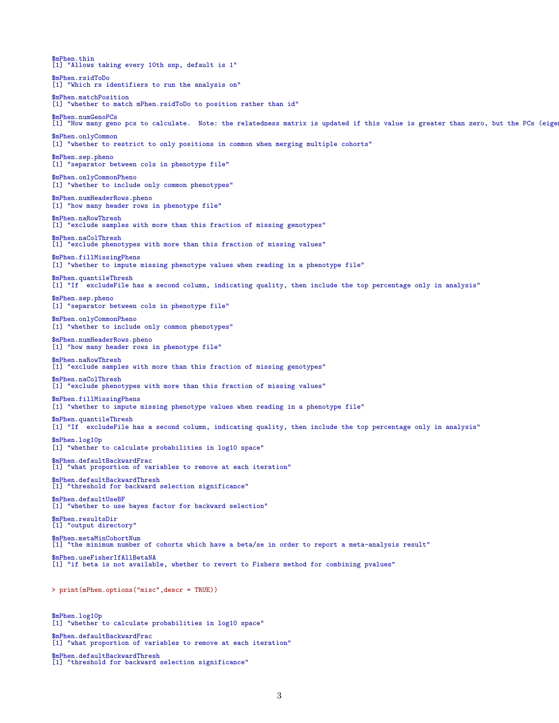\$mPhen.thin [1] "Allows taking every 10th snp, default is 1" \$mPhen.rsidToDo [1] "Which rs identifiers to run the analysis on" \$mPhen.matchPosition [1] "whether to match mPhen.rsidToDo to position rather than id" \$mPhen.numGenoPCs [1] "How many geno pcs to calculate. Note: the relatedness matrix is updated if this value is greater than zero, but the PCs (eige \$mPhen.onlyCommon [1] "whether to restrict to only positions in common when merging multiple cohorts" \$mPhen.sep.pheno [1] "separator between cols in phenotype file" \$mPhen.onlyCommonPheno [1] "whether to include only common phenotypes" \$mPhen.numHeaderRows.pheno [1] "how many header rows in phenotype file" \$mPhen.naRowThresh [1] "exclude samples with more than this fraction of missing genotypes" \$mPhen.naColThresh [1] "exclude phenotypes with more than this fraction of missing values" \$mPhen.fillMissingPhens [1] "whether to impute missing phenotype values when reading in a phenotype file" \$mPhen.quantileThresh [1] "If excludeFile has a second column, indicating quality, then include the top percentage only in analysis" \$mPhen.sep.pheno [1] "separator between cols in phenotype file" \$mPhen.onlyCommonPheno [1] "whether to include only common phenotypes" \$mPhen.numHeaderRows.pheno [1] "how many header rows in phenotype file" \$mPhen.naRowThresh [1] "exclude samples with more than this fraction of missing genotypes" \$mPhen.naColThresh [1] "exclude phenotypes with more than this fraction of missing values" \$mPhen.fillMissingPhens [1] "whether to impute missing phenotype values when reading in a phenotype file" \$mPhen.quantileThresh [1] "If excludeFile has a second column, indicating quality, then include the top percentage only in analysis" \$mPhen.log10p [1] "whether to calculate probabilities in log10 space" \$mPhen.defaultBackwardFrac [1] "what proportion of variables to remove at each iteration" \$mPhen.defaultBackwardThresh [1] "threshold for backward selection significance" \$mPhen.defaultUseBF [1] "whether to use bayes factor for backward selection" \$mPhen.resultsDir [1] "output directory" \$mPhen.metaMinCohortNum [1] "the minimum number of cohorts which have a beta/se in order to report a meta-analysis result" \$mPhen.useFisherIfAllBetaNA [1] "if beta is not available, whether to revert to Fishers method for combining pvalues" > print(mPhen.options("misc",descr = TRUE)) \$mPhen.log10p [1] "whether to calculate probabilities in log10 space" \$mPhen.defaultBackwardFrac [1] "what proportion of variables to remove at each iteration"

\$mPhen.defaultBackwardThresh [1] "threshold for backward selection significance"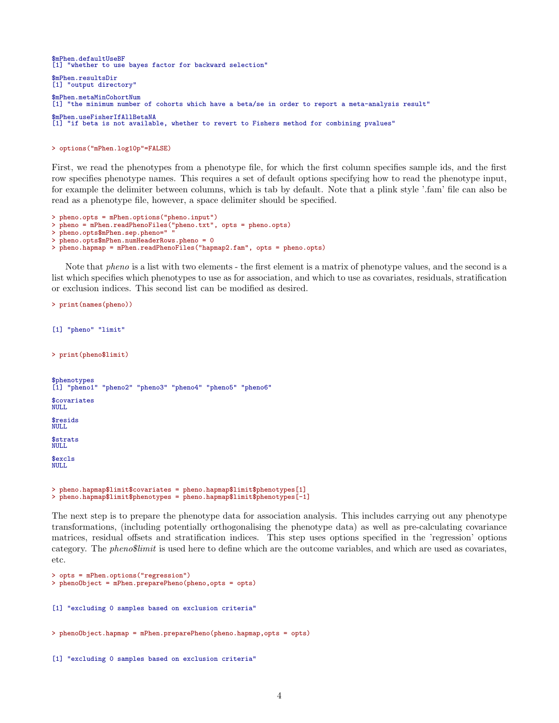\$mPhen.defaultUseBF<br>[1] "whether to use "whether to use bayes factor for backward selection" \$mPhen.resultsDir [1] "output directory" \$mPhen.metaMinCohortNum [1] "the minimum number of cohorts which have a beta/se in order to report a meta-analysis result" \$mPhen.useFisherIfAllBetaNA [1] "if beta is not available, whether to revert to Fishers method for combining pvalues"

#### > options("mPhen.log10p"=FALSE)

First, we read the phenotypes from a phenotype file, for which the first column specifies sample ids, and the first row specifies phenotype names. This requires a set of default options specifying how to read the phenotype input, for example the delimiter between columns, which is tab by default. Note that a plink style '.fam' file can also be read as a phenotype file, however, a space delimiter should be specified.

```
> pheno.opts = mPhen.options("pheno.input")
> pheno = mPhen.readPhenoFiles("pheno.txt", opts = pheno.opts)
> pheno.opts$mPhen.sep.pheno="
> pheno.opts$mPhen.numHeaderRows.pheno = 0
> pheno.hapmap = mPhen.readPhenoFiles("hapmap2.fam", opts = pheno.opts)
```
Note that *pheno* is a list with two elements - the first element is a matrix of phenotype values, and the second is a list which specifies which phenotypes to use as for association, and which to use as covariates, residuals, stratification or exclusion indices. This second list can be modified as desired.

```
> print(names(pheno))
[1] "pheno" "limit"
> print(pheno$limit)
$phenotypes
[1] "pheno1" "pheno2" "pheno3" "pheno4" "pheno5" "pheno6"
$covariates
NULL
$resids
NULL
$strats
NULL
$excls
NULL.
> pheno.hapmap$limit$covariates = pheno.hapmap$limit$phenotypes[1]
> pheno.hapmap$limit$phenotypes = pheno.hapmap$limit$phenotypes[-1]
```
The next step is to prepare the phenotype data for association analysis. This includes carrying out any phenotype transformations, (including potentially orthogonalising the phenotype data) as well as pre-calculating covariance matrices, residual offsets and stratification indices. This step uses options specified in the 'regression' options category. The pheno\$limit is used here to define which are the outcome variables, and which are used as covariates, etc.

```
> opts = mPhen.options("regression")
> phenoObject = mPhen.preparePheno(pheno,opts = opts)
[1] "excluding 0 samples based on exclusion criteria"
> phenoObject.hapmap = mPhen.preparePheno(pheno.hapmap,opts = opts)
[1] "excluding 0 samples based on exclusion criteria"
```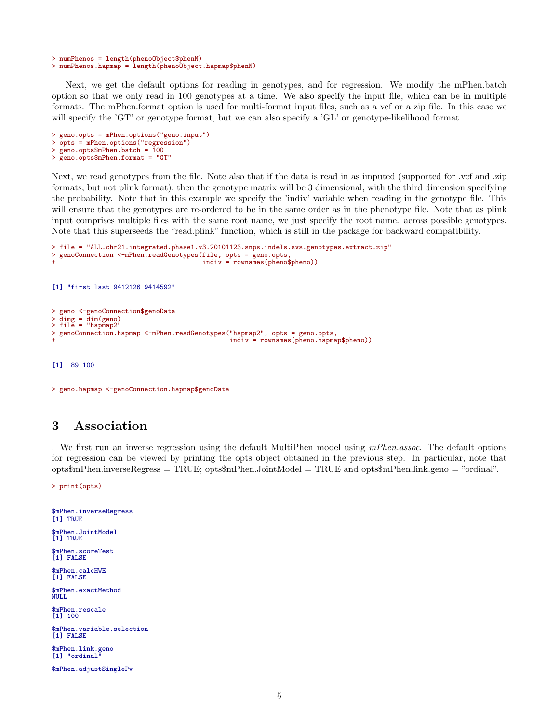```
> numPhenos = length(phenoObject$phenN)
> numPhenos.hapmap = length(phenoObject.hapmap$phenN)
```
Next, we get the default options for reading in genotypes, and for regression. We modify the mPhen.batch option so that we only read in 100 genotypes at a time. We also specify the input file, which can be in multiple formats. The mPhen.format option is used for multi-format input files, such as a vcf or a zip file. In this case we will specify the 'GT' or genotype format, but we can also specify a 'GL' or genotype-likelihood format.

```
> geno.opts = mPhen.options("geno.input")
> opts = mPhen.options("regression")
> geno.opts$mPhen.batch = 100
> geno.opts$mPhen.format = "GT"
```
Next, we read genotypes from the file. Note also that if the data is read in as imputed (supported for .vcf and .zip formats, but not plink format), then the genotype matrix will be 3 dimensional, with the third dimension specifying the probability. Note that in this example we specify the 'indiv' variable when reading in the genotype file. This will ensure that the genotypes are re-ordered to be in the same order as in the phenotype file. Note that as plink input comprises multiple files with the same root name, we just specify the root name. across possible genotypes. Note that this superseeds the "read.plink" function, which is still in the package for backward compatibility.

```
> file = "ALL.chr21.integrated.phase1.v3.20101123.snps.indels.svs.genotypes.extract.zip"
> genoConnection <-mPhen.readGenotypes(file, opts = geno.opts
                                         indiv = rownames(pheno$pheno))[1] "first last 9412126 9414592"
> geno <-genoConnection$genoData
> dimg = dim(geno)
> file = "hapmap2"
> genoConnection.hapmap <-mPhen.readGenotypes("hapmap2", opts = geno.opts,
                                                indiv = rownames(pheno.hapmap$pheno))
```
[1] 89 100

```
> geno.hapmap <-genoConnection.hapmap$genoData
```
## 3 Association

. We first run an inverse regression using the default MultiPhen model using mPhen.assoc. The default options for regression can be viewed by printing the opts object obtained in the previous step. In particular, note that opts\$mPhen.inverseRegress = TRUE; opts\$mPhen.JointModel = TRUE and opts\$mPhen.link.geno = "ordinal".

> print(opts)

\$mPhen.inverseRegress [1] TRUE \$mPhen.JointModel [1] TRUE \$mPhen.scoreTest [1] FALSE \$mPhen.calcHWE [1] FALSE \$mPhen.exactMethod NULL \$mPhen.rescale [1] 100 \$mPhen.variable.selection [1] FALSE \$mPhen.link.geno [1] "ordinal \$mPhen.adjustSinglePv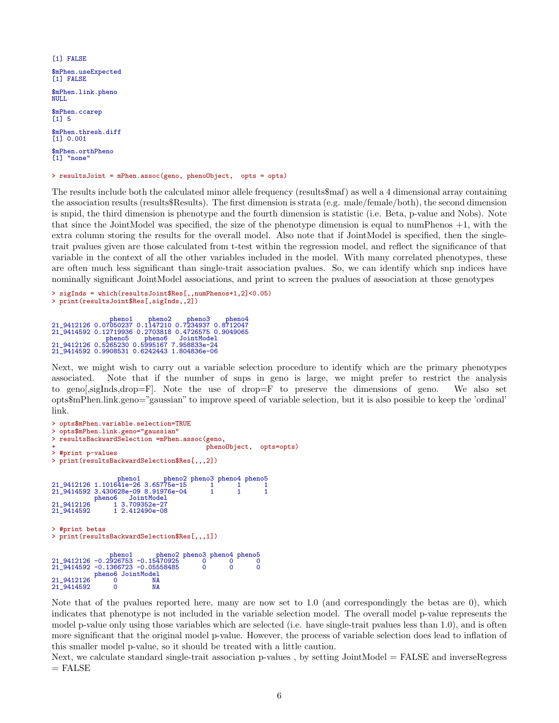```
[1] FALSE
$mPhen.useExpected
[1] FALSE
$mPhen.link.pheno
NULLL
$mPhen.ccarep
[1] 5
$mPhen.thresh.diff
[1] 0.001
$mPhen.orthPheno
[1] "none"
> resultsJoint = mPhen.assoc(geno, phenoObject, opts = opts)
```
The results include both the calculated minor allele frequency (results\$maf) as well a 4 dimensional array containing the association results (results\$Results). The first dimension is strata (e.g. male/female/both), the second dimension is snpid, the third dimension is phenotype and the fourth dimension is statistic (i.e. Beta, p-value and Nobs). Note that since the JointModel was specified, the size of the phenotype dimension is equal to numPhenos +1, with the extra column storing the results for the overall model. Also note that if JointModel is specified, then the singletrait pvalues given are those calculated from t-test within the regression model, and reflect the significance of that variable in the context of all the other variables included in the model. With many correlated phenotypes, these are often much less significant than single-trait association pvalues. So, we can identify which snp indices have nominally significant JointModel associations, and print to screen the pvalues of association at those genotypes

```
> sigInds = which(resultsJoint$Res[,,numPhenos+1,2]<0.05)
> print(resultsJoint$Res[,sigInds,,2])
```

```
pheno1 pheno2 pheno3 pheno4
21_9412126 0.07050237 0.1147210 0.7234937 0.8712047
21_9414592 0.12719936 0.2703818 0.4726575 0.9049065
pheno5 pheno6 JointModel
21_9412126 0.5265230 0.5995167 7.958833e-24
21_9414592 0.9908531 0.6242443 1.804836e-06
```
Next, we might wish to carry out a variable selection procedure to identify which are the primary phenotypes associated. Note that if the number of snps in geno is large, we might prefer to restrict the analysis to geno[,sigInds,drop=F]. Note the use of drop=F to preserve the dimensions of geno. We also set opts\$mPhen.link.geno="gaussian" to improve speed of variable selection, but it is also possible to keep the 'ordinal' link.

```
> opts$mPhen.variable.selection=TRUE
> opts$mPhen.link.geno="gaussian"
> resultsBackwardSelection =mPhen.assoc(geno,
                                                phenoObject, opts=opts)
> #print p-values
> print(resultsBackwardSelection$Res[,,,2])
pheno1 pheno2 pheno3 pheno4 pheno5
21_9412126 1.101641e-26 3.65775e-15 1 1 1
21_9414592 3.430628e-09 8.91976e-04 1 1 1
pheno6 JointModel
21_9412126 1 3.709352e-27
21_9414592 1 2.412490e-08
> #print betas
> print(resultsBackwardSelection$Res[,,,1])
                  pheno1 pheno2 pheno3 pheno4 pheno5<br>926753 -0.15470925 0 0 0<br>366723 -0.05558485 0 0 0
21_9412126 -0.2926753 -0.15470925 0 0 0
21_9414592 -0.1366723 -0.05558485 0 0 0
            pheno6 JointModel
21_9412126 0 NA<br>21_9414592 0 NA
21<sup>-9414592</sup>
```
Note that of the pvalues reported here, many are now set to 1.0 (and correspondingly the betas are 0), which indicates that phenotype is not included in the variable selection model. The overall model p-value represents the model p-value only using those variables which are selected (i.e. have single-trait pvalues less than 1.0), and is often more significant that the original model p-value. However, the process of variable selection does lead to inflation of this smaller model p-value, so it should be treated with a little caution.

Next, we calculate standard single-trait association p-values , by setting JointModel = FALSE and inverseRegress  $=$  FALSE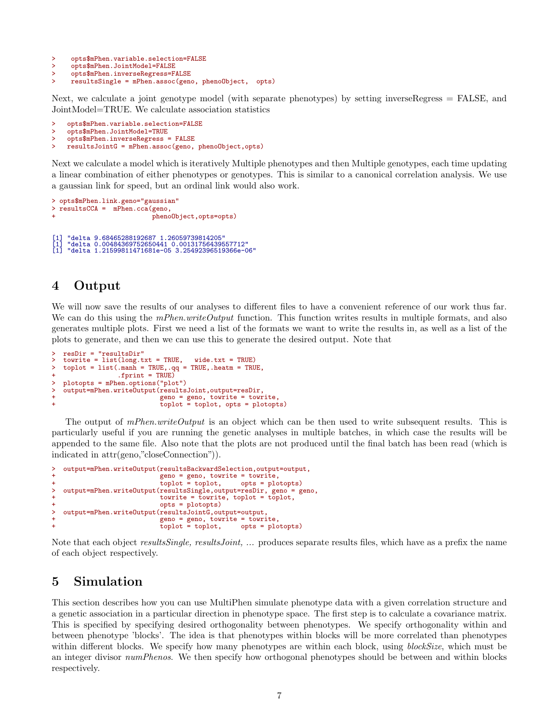> opts\$mPhen.variable.selection=FALSE

> opts\$mPhen.JointModel=FALSE<br>> opts\$mPhen.inverseRegress=F

```
> opts$mPhen.inverseRegress=FALSE<br>> resultsSingle = mPhen.assoc(gen
      > resultsSingle = mPhen.assoc(geno, phenoObject, opts)
```
Next, we calculate a joint genotype model (with separate phenotypes) by setting inverseRegress = FALSE, and JointModel=TRUE. We calculate association statistics

```
> opts$mPhen.variable.selection=FALSE
> opts$mPhen.JointModel=TRUE<br>> opts$mPhen.inverseRegress
     > opts$mPhen.inverseRegress = FALSE
> resultsJointG = mPhen.assoc(geno, phenoObject,opts)
```
Next we calculate a model which is iteratively Multiple phenotypes and then Multiple genotypes, each time updating a linear combination of either phenotypes or genotypes. This is similar to a canonical correlation analysis. We use a gaussian link for speed, but an ordinal link would also work.

```
> opts$mPhen.link.geno="gaussian"
> resultsCCA = mPhen.cca(geno,
                                 phenoObject,opts=opts)
[1] "delta 9.68465288192687 1.26059739814205"
[1] "delta 0.00484369752650441 0.00131756439557712"
    [1] "delta 1.21599811471681e-05 3.25492396519366e-06"
```
# 4 Output

We will now save the results of our analyses to different files to have a convenient reference of our work thus far. We can do this using the *mPhen.writeOutput* function. This function writes results in multiple formats, and also generates multiple plots. First we need a list of the formats we want to write the results in, as well as a list of the plots to generate, and then we can use this to generate the desired output. Note that

```
> resDir = "resultsDir"
> towrite = list(long.txt = TRUE, wide.txt = TRUE)
> toplot = list(.manh = TRUE,.qq = TRUE,.heatm = TRUE,
                  . fprint = TRUE)
  > plotopts = mPhen.options("plot")
   > output=mPhen.writeOutput(resultsJoint,output=resDir,
                               geno = geno, to write = towrite,toplot = toplot, opts = plotopts)
```
The output of *mPhen.writeOutput* is an object which can be then used to write subsequent results. This is particularly useful if you are running the genetic analyses in multiple batches, in which case the results will be appended to the same file. Also note that the plots are not produced until the final batch has been read (which is indicated in attr(geno,"closeConnection")).

```
> output=mPhen.writeOutput(resultsBackwardSelection,output=output,
                                 qeno = geno, towrite = towrite,<br>toplot = toplot, opts = plo
+ toplot = toplot, opts = plotopts)
> output=mPhen.writeOutput(resultsSingle,output=resDir, geno = geno,
+ towrite = towrite, toplot = toplot,
                                 opts = plotopts)> output=mPhen.writeOutput(resultsJointG,output=output,
+ geno = geno, towrite = towrite,
                                 toplot = toplot, opts = plotopts)
```
Note that each object *resultsSingle, resultsJoint, ...* produces separate results files, which have as a prefix the name of each object respectively.

# 5 Simulation

This section describes how you can use MultiPhen simulate phenotype data with a given correlation structure and a genetic association in a particular direction in phenotype space. The first step is to calculate a covariance matrix. This is specified by specifying desired orthogonality between phenotypes. We specify orthogonality within and between phenotype 'blocks'. The idea is that phenotypes within blocks will be more correlated than phenotypes within different blocks. We specify how many phenotypes are within each block, using blockSize, which must be an integer divisor numPhenos. We then specify how orthogonal phenotypes should be between and within blocks respectively.